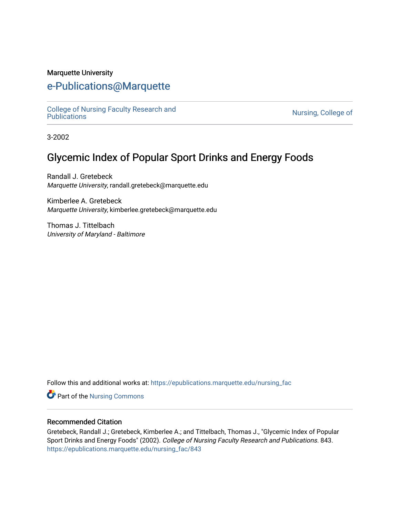#### Marquette University

# [e-Publications@Marquette](https://epublications.marquette.edu/)

[College of Nursing Faculty Research and](https://epublications.marquette.edu/nursing_fac)<br>Publications

Nursing, College of

3-2002

# Glycemic Index of Popular Sport Drinks and Energy Foods

Randall J. Gretebeck Marquette University, randall.gretebeck@marquette.edu

Kimberlee A. Gretebeck Marquette University, kimberlee.gretebeck@marquette.edu

Thomas J. Tittelbach University of Maryland - Baltimore

Follow this and additional works at: [https://epublications.marquette.edu/nursing\\_fac](https://epublications.marquette.edu/nursing_fac?utm_source=epublications.marquette.edu%2Fnursing_fac%2F843&utm_medium=PDF&utm_campaign=PDFCoverPages)

Part of the [Nursing Commons](http://network.bepress.com/hgg/discipline/718?utm_source=epublications.marquette.edu%2Fnursing_fac%2F843&utm_medium=PDF&utm_campaign=PDFCoverPages) 

#### Recommended Citation

Gretebeck, Randall J.; Gretebeck, Kimberlee A.; and Tittelbach, Thomas J., "Glycemic Index of Popular Sport Drinks and Energy Foods" (2002). College of Nursing Faculty Research and Publications. 843. [https://epublications.marquette.edu/nursing\\_fac/843](https://epublications.marquette.edu/nursing_fac/843?utm_source=epublications.marquette.edu%2Fnursing_fac%2F843&utm_medium=PDF&utm_campaign=PDFCoverPages)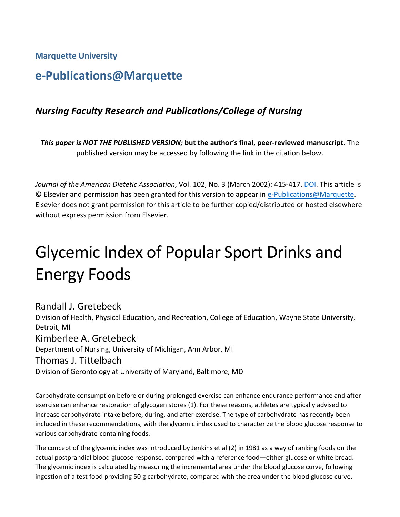**Marquette University**

# **e-Publications@Marquette**

# *Nursing Faculty Research and Publications/College of Nursing*

*This paper is NOT THE PUBLISHED VERSION;* **but the author's final, peer-reviewed manuscript.** The published version may be accessed by following the link in the citation below.

*Journal of the American Dietetic Association*, Vol. 102, No. 3 (March 2002): 415-417. [DOI.](https://doi.org/10.1016/S0002-8223(02)90097-0) This article is © Elsevier and permission has been granted for this version to appear in [e-Publications@Marquette.](http://epublications.marquette.edu/) Elsevier does not grant permission for this article to be further copied/distributed or hosted elsewhere without express permission from Elsevier.

# Glycemic Index of Popular Sport Drinks and Energy Foods

# Randall J. Gretebeck

Division of Health, Physical Education, and Recreation, College of Education, Wayne State University, Detroit, MI

## Kimberlee A. Gretebeck

Department of Nursing, University of Michigan, Ann Arbor, MI

#### Thomas J. Tittelbach

Division of Gerontology at University of Maryland, Baltimore, MD

Carbohydrate consumption before or during prolonged exercise can enhance endurance performance and after exercise can enhance restoration of glycogen stores (1). For these reasons, athletes are typically advised to increase carbohydrate intake before, during, and after exercise. The type of carbohydrate has recently been included in these recommendations, with the glycemic index used to characterize the blood glucose response to various carbohydrate-containing foods.

The concept of the glycemic index was introduced by Jenkins et al (2) in 1981 as a way of ranking foods on the actual postprandial blood glucose response, compared with a reference food—either glucose or white bread. The glycemic index is calculated by measuring the incremental area under the blood glucose curve, following ingestion of a test food providing 50 g carbohydrate, compared with the area under the blood glucose curve,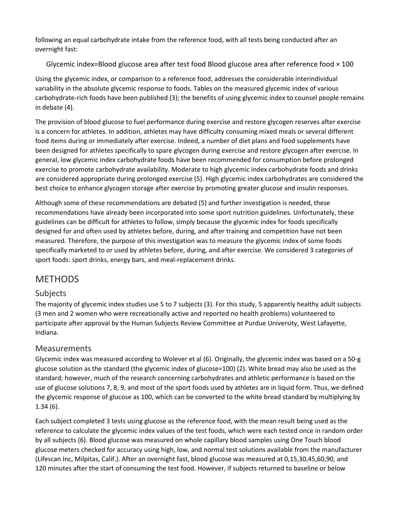following an equal carbohydrate intake from the reference food, with all tests being conducted after an overnight fast:

#### Glycemic index=Blood glucose area after test food Blood glucose area after reference food  $\times$  100

Using the glycemic index, or comparison to a reference food, addresses the considerable interindividual variability in the absolute glycemic response to foods. Tables on the measured glycemic index of various carbohydrate-rich foods have been published (3); the benefits of using glycemic index to counsel people remains in debate (4).

The provision of blood glucose to fuel performance during exercise and restore glycogen reserves after exercise is a concern for athletes. In addition, athletes may have difficulty consuming mixed meals or several different food items during or immediately after exercise. Indeed, a number of diet plans and food supplements have been designed for athletes specifically to spare glycogen during exercise and restore glycogen after exercise. In general, low glycemic index carbohydrate foods have been recommended for consumption before prolonged exercise to promote carbohydrate availability. Moderate to high glycemic index carbohydrate foods and drinks are considered appropriate during prolonged exercise (5). High glycemic index carbohydrates are considered the best choice to enhance glycogen storage after exercise by promoting greater glucose and insulin responses.

Although some of these recommendations are debated (5) and further investigation is needed, these recommendations have already been incorporated into some sport nutrition guidelines. Unfortunately, these guidelines can be difficult for athletes to follow, simply because the glycemic index for foods specifically designed for and often used by athletes before, during, and after training and competition have not been measured. Therefore, the purpose of this investigation was to measure the glycemic index of some foods specifically marketed to or used by athletes before, during, and after exercise. We considered 3 categories of sport foods: sport drinks, energy bars, and meal-replacement drinks.

# METHODS

## Subjects

The majority of glycemic index studies use 5 to 7 subjects (3). For this study, 5 apparently healthy adult subjects (3 men and 2 women who were recreationally active and reported no health problems) volunteered to participate after approval by the Human Subjects Review Committee at Purdue University, West Lafayette, Indiana.

#### Measurements

Glycemic index was measured according to Wolever et al (6). Originally, the glycemic index was based on a 50-g glucose solution as the standard (the glycemic index of glucose=100) (2). White bread may also be used as the standard; however, much of the research concerning carbohydrates and athletic performance is based on the use of glucose solutions 7, 8, 9, and most of the sport foods used by athletes are in liquid form. Thus, we defined the glycemic response of glucose as 100, which can be converted to the white bread standard by multiplying by 1.34 (6).

Each subject completed 3 tests using glucose as the reference food, with the mean result being used as the reference to calculate the glycemic index values of the test foods, which were each tested once in random order by all subjects (6). Blood glucose was measured on whole capillary blood samples using One Touch blood glucose meters checked for accuracy using high, low, and normal test solutions available from the manufacturer (Lifescan Inc, Milpitas, Calif.). After an overnight fast, blood glucose was measured at 0,15,30,45,60,90, and 120 minutes after the start of consuming the test food. However, if subjects returned to baseline or below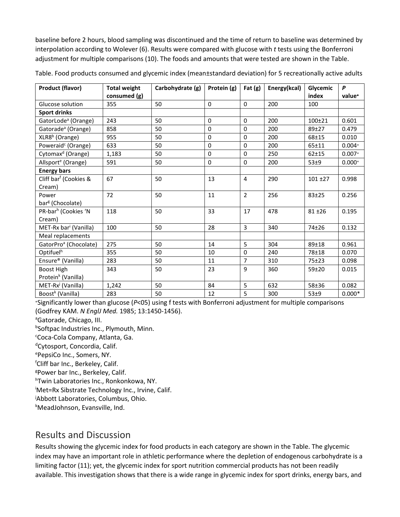baseline before 2 hours, blood sampling was discontinued and the time of return to baseline was determined by interpolation according to Wolever (6). Results were compared with glucose with *t* tests using the Bonferroni adjustment for multiple comparisons (10). The foods and amounts that were tested are shown in the Table.

| <b>Product (flavor)</b>           | <b>Total weight</b> | Carbohydrate (g) | Protein (g)  | Fat $(g)$      | Energy(kcal) | Glycemic   | P        |
|-----------------------------------|---------------------|------------------|--------------|----------------|--------------|------------|----------|
|                                   | consumed (g)        |                  |              |                |              | index      | value*   |
| Glucose solution                  | 355                 | 50               | $\mathbf{0}$ | $\Omega$       | 200          | 100        |          |
| <b>Sport drinks</b>               |                     |                  |              |                |              |            |          |
| GatorLode <sup>a</sup> (Orange)   | 243                 | 50               | 0            | 0              | 200          | 100±21     | 0.601    |
| Gatorade <sup>a</sup> (Orange)    | 858                 | 50               | $\mathbf 0$  | $\mathbf 0$    | 200          | 89±27      | 0.479    |
| XLR8 <sup>b</sup> (Orange)        | 955                 | 50               | $\mathbf{0}$ | $\Omega$       | 200          | 68±15      | 0.010    |
| Poweraid <sup>c</sup> (Orange)    | 633                 | 50               | $\Omega$     | $\Omega$       | 200          | $65 + 11$  | $0.004*$ |
| Cytomax <sup>d</sup> (Orange)     | 1,183               | 50               | $\mathbf 0$  | 0              | 250          | $62 + 15$  | $0.007*$ |
| Allsport <sup>e</sup> (Orange)    | 591                 | 50               | 0            | $\mathbf 0$    | 200          | 53±9       | $0.000*$ |
| <b>Energy bars</b>                |                     |                  |              |                |              |            |          |
| Cliff bar <sup>f</sup> (Cookies & | 67                  | 50               | 13           | 4              | 290          | $101 + 27$ | 0.998    |
| Cream)                            |                     |                  |              |                |              |            |          |
| Power                             | 72                  | 50               | 11           | $\overline{2}$ | 256          | $83 + 25$  | 0.256    |
| bar <sup>g</sup> (Chocolate)      |                     |                  |              |                |              |            |          |
| PR-bar <sup>h</sup> (Cookies 'N   | 118                 | 50               | 33           | 17             | 478          | $81 + 26$  | 0.195    |
| Cream)                            |                     |                  |              |                |              |            |          |
| MET-Rx bar <sup>i</sup> (Vanilla) | 100                 | 50               | 28           | $\overline{3}$ | 340          | 74±26      | 0.132    |
| Meal replacements                 |                     |                  |              |                |              |            |          |
| GatorPro <sup>a</sup> (Chocolate) | 275                 | 50               | 14           | 5              | 304          | 89±18      | 0.961    |
| Optifuel <sup>h</sup>             | 355                 | 50               | 10           | $\Omega$       | 240          | 78±18      | 0.070    |
| Ensure® (Vanilla)                 | 283                 | 50               | 11           | $\overline{7}$ | 310          | $75 + 23$  | 0.098    |
| Boost High                        | 343                 | 50               | 23           | 9              | 360          | $59 + 20$  | 0.015    |
| Protein <sup>k</sup> (Vanilla)    |                     |                  |              |                |              |            |          |
| MET-Rx <sup>j</sup> (Vanilla)     | 1,242               | 50               | 84           | 5              | 632          | 58±36      | 0.082    |
| Boost <sup>k</sup> (Vanilla)      | 283                 | 50               | 12           | 5              | 300          | 53±9       | $0.000*$ |

Table. Food products consumed and glycemic index (mean±standard deviation) for 5 recreationally active adults

<sup>∗</sup>Significantly lower than glucose (*P*<05) using f tests with Bonferroni adjustment for multiple comparisons (Godfrey KAM. *N EnglJ Med.* 1985; 13:1450-1456).

<sup>a</sup>Gatorade, Chicago, III.

b Softpac Industries Inc., Plymouth, Minn.

c Coca-Cola Company, Atlanta, Ga.

<sup>d</sup>Cytosport, Concordia, Calif.

<sup>e</sup>PepsiCo Inc., Somers, NY.

f Cliff bar Inc., Berkeley, Calif.

g Power bar Inc., Berkeley, Calif.

h Twin Laboratories Inc., Ronkonkowa, NY.

i Met=Rx Sibstrate Technology Inc., Irvine, Calif.

j Abbott Laboratories, Columbus, Ohio.

k MeadJohnson, Evansville, Ind.

# Results and Discussion

Results showing the glycemic index for food products in each category are shown in the Table. The glycemic index may have an important role in athletic performance where the depletion of endogenous carbohydrate is a limiting factor (11); yet, the glycemic index for sport nutrition commercial products has not been readily available. This investigation shows that there is a wide range in glycemic index for sport drinks, energy bars, and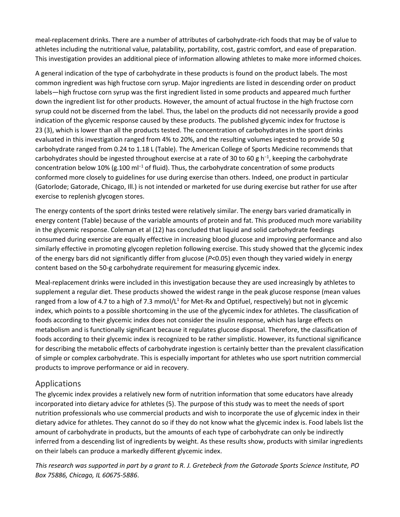meal-replacement drinks. There are a number of attributes of carbohydrate-rich foods that may be of value to athletes including the nutritional value, palatability, portability, cost, gastric comfort, and ease of preparation. This investigation provides an additional piece of information allowing athletes to make more informed choices.

A general indication of the type of carbohydrate in these products is found on the product labels. The most common ingredient was high fructose corn syrup. Major ingredients are listed in descending order on product labels—high fructose corn syrup was the first ingredient listed in some products and appeared much further down the ingredient list for other products. However, the amount of actual fructose in the high fructose corn syrup could not be discerned from the label. Thus, the label on the products did not necessarily provide a good indication of the glycemic response caused by these products. The published glycemic index for fructose is 23 (3), which is lower than all the products tested. The concentration of carbohydrates in the sport drinks evaluated in this investigation ranged from 4% to 20%, and the resulting volumes ingested to provide 50 g carbohydrate ranged from 0.24 to 1.18 L (Table). The American College of Sports Medicine recommends that carbohydrates should be ingested throughout exercise at a rate of 30 to 60 g h<sup>-1</sup>, keeping the carbohydrate concentration below 10% (g.100 m $I^{-1}$  of fluid). Thus, the carbohydrate concentration of some products conformed more closely to guidelines for use during exercise than others. Indeed, one product in particular (Gatorlode; Gatorade, Chicago, Ill.) is not intended or marketed for use during exercise but rather for use after exercise to replenish glycogen stores.

The energy contents of the sport drinks tested were relatively similar. The energy bars varied dramatically in energy content (Table) because of the variable amounts of protein and fat. This produced much more variability in the glycemic response. Coleman et al (12) has concluded that liquid and solid carbohydrate feedings consumed during exercise are equally effective in increasing blood glucose and improving performance and also similarly effective in promoting glycogen repletion following exercise. This study showed that the glycemic index of the energy bars did not significantly differ from glucose (*P*<0.05) even though they varied widely in energy content based on the 50-g carbohydrate requirement for measuring glycemic index.

Meal-replacement drinks were included in this investigation because they are used increasingly by athletes to supplement a regular diet. These products showed the widest range in the peak glucose response (mean values ranged from a low of 4.7 to a high of 7.3 mmol/ $L^1$  for Met-Rx and Optifuel, respectively) but not in glycemic index, which points to a possible shortcoming in the use of the glycemic index for athletes. The classification of foods according to their glycemic index does not consider the insulin response, which has large effects on metabolism and is functionally significant because it regulates glucose disposal. Therefore, the classification of foods according to their glycemic index is recognized to be rather simplistic. However, its functional significance for describing the metabolic effects of carbohydrate ingestion is certainly better than the prevalent classification of simple or complex carbohydrate. This is especially important for athletes who use sport nutrition commercial products to improve performance or aid in recovery.

#### Applications

The glycemic index provides a relatively new form of nutrition information that some educators have already incorporated into dietary advice for athletes (5). The purpose of this study was to meet the needs of sport nutrition professionals who use commercial products and wish to incorporate the use of glycemic index in their dietary advice for athletes. They cannot do so if they do not know what the glycemic index is. Food labels list the amount of carbohydrate in products, but the amounts of each type of carbohydrate can only be indirectly inferred from a descending list of ingredients by weight. As these results show, products with similar ingredients on their labels can produce a markedly different glycemic index.

*This research was supported in part by a grant to R. J. Gretebeck from the Gatorade Sports Science Institute, PO Box 75886, Chicago, IL 60675-5886*.